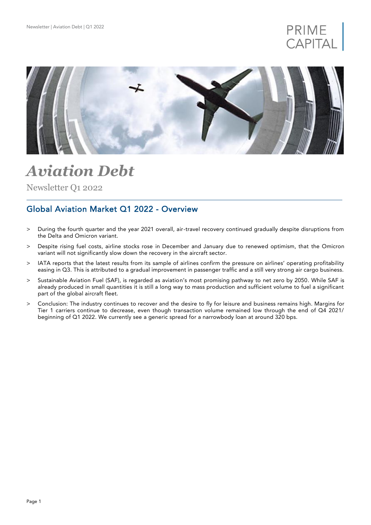



# *Aviation Debt*

Newsletter Q1 2022

## Global Aviation Market Q1 2022 - Overview

- > During the fourth quarter and the year 2021 overall, air-travel recovery continued gradually despite disruptions from the Delta and Omicron variant.
- > Despite rising fuel costs, airline stocks rose in December and January due to renewed optimism, that the Omicron variant will not significantly slow down the recovery in the aircraft sector.
- > IATA reports that the latest results from its sample of airlines confirm the pressure on airlines' operating profitability easing in Q3. This is attributed to a gradual improvement in passenger traffic and a still very strong air cargo business.
- > Sustainable Aviation Fuel (SAF), is regarded as aviation's most promising pathway to net zero by 2050. While SAF is already produced in small quantities it is still a long way to mass production and sufficient volume to fuel a significant part of the global aircraft fleet.
- > Conclusion: The industry continues to recover and the desire to fly for leisure and business remains high. Margins for Tier 1 carriers continue to decrease, even though transaction volume remained low through the end of Q4 2021/ beginning of Q1 2022. We currently see a generic spread for a narrowbody loan at around 320 bps.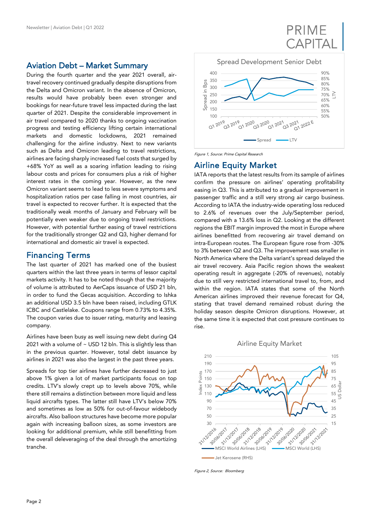### Aviation Debt – Market Summary

During the fourth quarter and the year 2021 overall, airtravel recovery continued gradually despite disruptions from the Delta and Omicron variant. In the absence of Omicron, results would have probably been even stronger and bookings for near-future travel less impacted during the last quarter of 2021. Despite the considerable improvement in air travel compared to 2020 thanks to ongoing vaccination progress and testing efficiency lifting certain international markets and domestic lockdowns, 2021 remained challenging for the airline industry. Next to new variants such as Delta and Omicron leading to travel restrictions, airlines are facing sharply increased fuel costs that surged by +68% YoY as well as a soaring inflation leading to rising labour costs and prices for consumers plus a risk of higher interest rates in the coming year. However, as the new Omicron variant seems to lead to less severe symptoms and hospitalization ratios per case falling in most countries, air travel is expected to recover further. It is expected that the traditionally weak months of January and February will be potentially even weaker due to ongoing travel restrictions. However, with potential further easing of travel restrictions for the traditionally stronger Q2 and Q3, higher demand for international and domestic air travel is expected.

### Financing Terms

The last quarter of 2021 has marked one of the busiest quarters within the last three years in terms of lessor capital markets activity. It has to be noted though that the majority of volume is attributed to AerCaps issuance of USD 21 bln, in order to fund the Gecas acquisition. According to Ishka an additional USD 3.5 bln have been raised, including GTLK ICBC and Castlelake. Coupons range from 0.73% to 4.35%. The coupon varies due to issuer rating, maturity and leasing company.

Airlines have been busy as well issuing new debt during Q4 2021 with a volume of  $\sim$  USD 12 bln. This is slightly less than in the previous quarter. However, total debt issuance by airlines in 2021 was also the largest in the past three years.

Spreads for top tier airlines have further decreased to just above 1% given a lot of market participants focus on top credits. LTV's slowly crept up to levels above 70%, while there still remains a distinction between more liquid and less liquid aircrafts types. The latter still have LTV's below 70% and sometimes as low as 50% for out-of-favour widebody aircrafts. Also balloon structures have become more popular again with increasing balloon sizes, as some investors are looking for additional premium, while still benefitting from the overall deleveraging of the deal through the amortizing tranche.



**PRIME** 

**CAPITAL** 

Figure 1, Source: Prime Capital Research

### Airline Equity Market

IATA reports that the latest results from its sample of airlines confirm the pressure on airlines' operating profitability easing in Q3. This is attributed to a gradual improvement in passenger traffic and a still very strong air cargo business. According to IATA the industry-wide operating loss reduced to 2.6% of revenues over the July/September period, compared with a 13.6% loss in Q2. Looking at the different regions the EBIT margin improved the most in Europe where airlines benefitted from recovering air travel demand on intra-European routes. The European figure rose from -30% to 3% between Q2 and Q3. The improvement was smaller in North America where the Delta variant's spread delayed the air travel recovery. Asia Pacific region shows the weakest operating result in aggregate (-20% of revenues), notably due to still very restricted international travel to, from, and within the region. IATA states that some of the North American airlines improved their revenue forecast for Q4, stating that travel demand remained robust during the holiday season despite Omicron disruptions. However, at the same time it is expected that cost pressure continues to rise.



Figure 2, Source: Bloomberg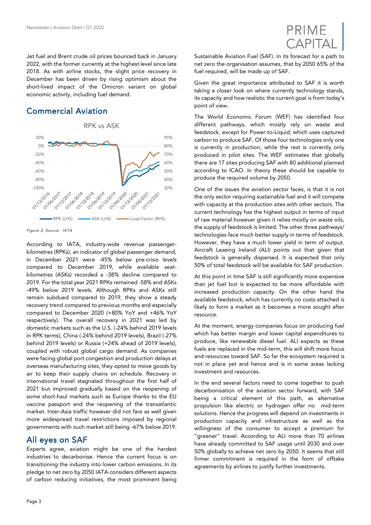

Jet fuel and Brent crude oil prices bounced back in January 2022, with the former currently at the highest level since late 2018. As with airline stocks, the slight price recovery in December has been driven by rising optimism about the short-lived impact of the Omicron variant on global economic activity, including fuel demand.

# Commercial Aviation



Figure 3, Source: IATA

According to IATA, industry-wide revenue passengerkilometres (RPKs), an indicator of global passenger demand, in December 2021 were -45% below pre-crisis levels compared to December 2019, while available seatkilometres (ASKs) recorded a -38% decline compared to 2019. For the total year 2021 RPKs remained -58% and ASKs -49% below 2019 levels. Although RPKs and ASKs still remain subdued compared to 2019, they show a steady recovery trend compared to previous months and especially compared to December 2020 (+80% YoY and +46% YoY respectively). The overall recovery in 2021 was led by domestic markets such as the U.S. (-24% behind 2019 levels in RPK terms), China (-24% behind 2019 levels), Brazil (-27% behind 2019 levels) or Russia (+24% ahead of 2019 levels), coupled with robust global cargo demand. As companies were facing global port congestion and production delays at overseas manufacturing sites, they opted to move goods by air to keep their supply chains on schedule. Recovery in international travel stagnated throughout the first half of 2021 but improved gradually based on the reopening of some short-haul markets such as Europe thanks to the EU vaccine passport and the reopening of the transatlantic market. Inter-Asia traffic however did not fare as well given more widespread travel restrictions imposed by regional governments with such market still being -67% below 2019.

### All eyes on SAF

Experts agree, aviation might be one of the hardest industries to decarbonise. Hence the current focus is on transitioning the industry into lower carbon emissions. In its pledge to net zero by 2050 IATA considers different aspects of carbon reducing initiatives, the most prominent being

Sustainable Aviation Fuel (SAF). In its forecast for a path to net zero the organisation assumes, that by 2050 65% of the fuel required, will be made up of SAF.

Given the great importance attributed to SAF it is worth taking a closer look on where currently technology stands, its capacity and how realistic the current goal is from today's point of view.

The World Economic Forum (WEF) has identified four different pathways, which mostly rely on waste and feedstock, except for Power-to-Liquid, which uses captured carbon to produce SAF. Of those four technologies only one is currently in production, while the rest is currently only produced in pilot sites. The WEF estimates that globally there are 17 sites producing SAF with 80 additional planned according to ICAO. In theory these should be capable to produce the required volume by 2050.

One of the issues the aviation sector faces, is that it is not the only sector requiring sustainable fuel and it will compete with capacity at the production sites with other sectors. The current technology has the highest output in terms of input of raw material however given it relies mostly on waste oils, the supply of feedstock is limited. The other three pathways/ technologies face much better supply in terms of feedstock. However, they have a much lower yield in term of output. Aircraft Leasing Ireland (ALI) points out that given that feedstock is generally dispersed. It is expected that only 50% of total feedstock will be available for SAF production.

At this point in time SAF is still significantly more expensive than jet fuel but is expected to be more affordable with increased production capacity. On the other hand the available feedstock, which has currently no costs attached is likely to form a market as it becomes a more sought after resource.

At the moment, energy companies focus on producing fuel which has better margin and lower capital expenditures to produce, like renewable diesel fuel. ALI expects as these fuels are replaced in the mid-term, this will shift more focus and resources toward SAF. So far the ecosystem required is not in place yet and hence and is in some areas lacking investment and resources.

In the end several factors need to come together to push decarbonisation of the aviation sector forward, with SAF being a critical element of this path, as alternative propulsion like electric or hydrogen offer no mid-term solutions. Hence the progress will depend on investments in production capacity and infrastructure as well as the willingness of the consumer to accept a premium for "greener" travel. According to ALI more than 70 airlines have already committed to SAF usage until 2030 and over 50% globally to achieve net zero by 2050. It seems that still firmer commitment is required in the form of offtake agreements by airlines to justify further investments.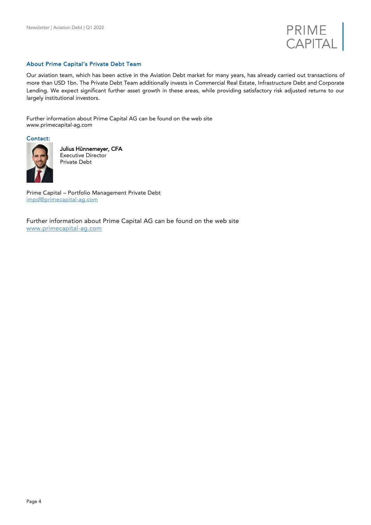

#### About Prime Capital's Private Debt Team

Our aviation team, which has been active in the Aviation Debt market for many years, has already carried out transactions of more than USD 1bn. The Private Debt Team additionally invests in Commercial Real Estate, Infrastructure Debt and Corporate Lending. We expect significant further asset growth in these areas, while providing satisfactory risk adjusted returns to our largely institutional investors.

Further information about Prime Capital AG can be found on the web site [www.primecapital-ag.com](http://www.primecapital-ag.com/)

Contact:



Julius Hünnemeyer, CFA Executive Director Private Debt

Prime Capital – Portfolio Management Private Debt [impd@primecapital-ag.com](mailto:impd@primecapital-ag.com)

Further information about Prime Capital AG can be found on the web site [www.primecapital-ag.com](http://www.primecapital-ag.com/)